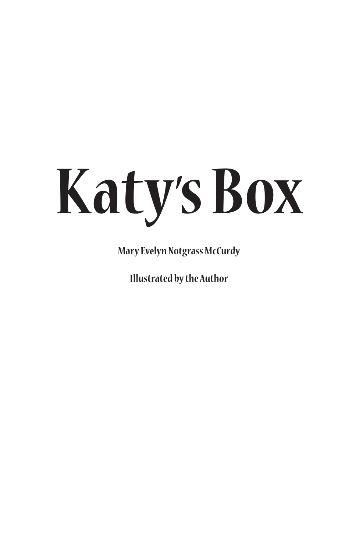# **Katy' s Box**

**Mary Evelyn Notgrass McCurdy**

**Illustrated by the Author**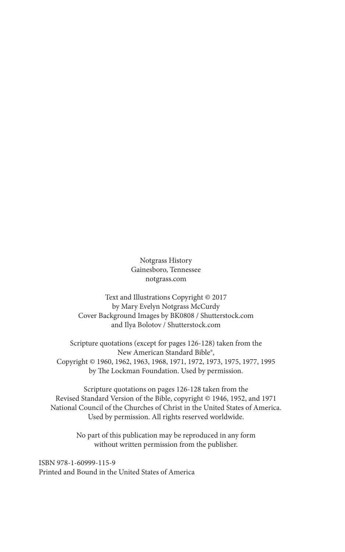Notgrass History Gainesboro, Tennessee notgrass.com

Text and Illustrations Copyright © 2017 by Mary Evelyn Notgrass McCurdy Cover Background Images by BK0808 / Shutterstock.com and Ilya Bolotov / Shutterstock.com

Scripture quotations (except for pages 126-128) taken from the New American Standard Bible®, Copyright © 1960, 1962, 1963, 1968, 1971, 1972, 1973, 1975, 1977, 1995 by The Lockman Foundation. Used by permission.

Scripture quotations on pages 126-128 taken from the Revised Standard Version of the Bible, copyright © 1946, 1952, and 1971 National Council of the Churches of Christ in the United States of America. Used by permission. All rights reserved worldwide.

> No part of this publication may be reproduced in any form without written permission from the publisher.

ISBN 978-1-60999-115-9 Printed and Bound in the United States of America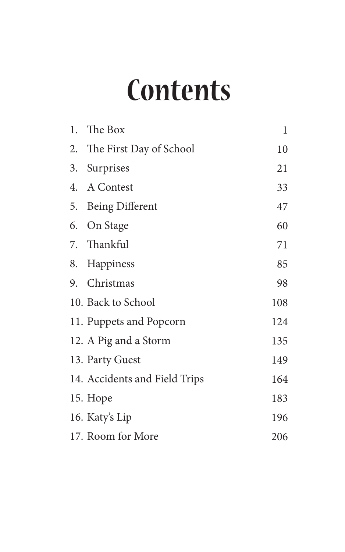### **Contents**

|    | 1. The Box                    | 1   |
|----|-------------------------------|-----|
|    | 2. The First Day of School    | 10  |
| 3. | Surprises                     | 21  |
|    | 4. A Contest                  | 33  |
|    | 5. Being Different            | 47  |
|    | 6. On Stage                   | 60  |
|    | 7. Thankful                   | 71  |
|    | 8. Happiness                  | 85  |
|    | 9. Christmas                  | 98  |
|    | 10. Back to School            | 108 |
|    | 11. Puppets and Popcorn       | 124 |
|    | 12. A Pig and a Storm         | 135 |
|    | 13. Party Guest               | 149 |
|    | 14. Accidents and Field Trips | 164 |
|    | 15. Hope                      | 183 |
|    | 16. Katy's Lip                | 196 |
|    | 17. Room for More             | 206 |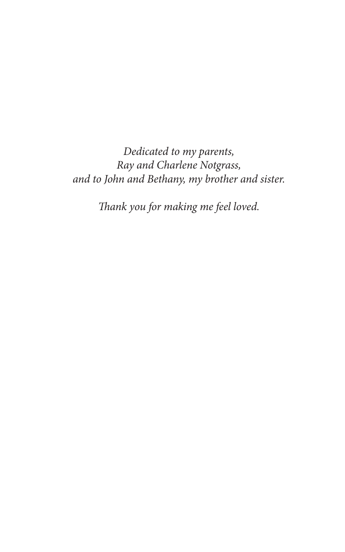*Dedicated to my parents, Ray and Charlene Notgrass, and to John and Bethany, my brother and sister.* 

*Thank you for making me feel loved.*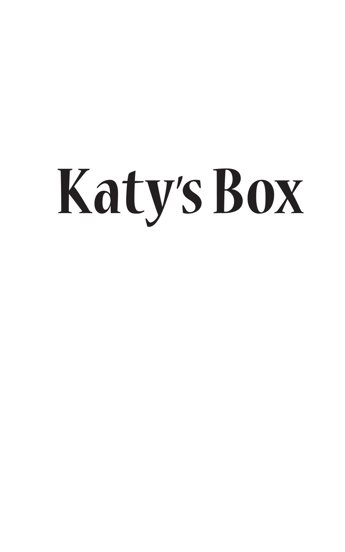# **Katy' s Box**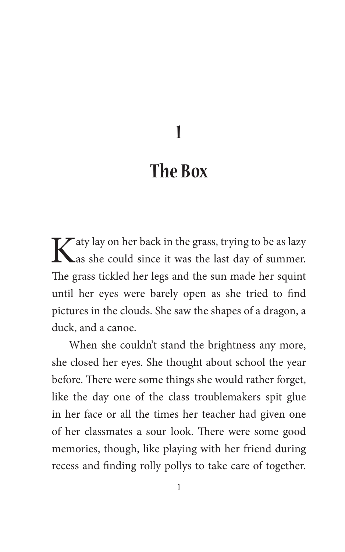**1**

#### **The Box**

Katy lay on her back in the grass, trying to be as lazy as she could since it was the last day of summer. The grass tickled her legs and the sun made her squint until her eyes were barely open as she tried to find pictures in the clouds. She saw the shapes of a dragon, a duck, and a canoe.

When she couldn't stand the brightness any more, she closed her eyes. She thought about school the year before. There were some things she would rather forget, like the day one of the class troublemakers spit glue in her face or all the times her teacher had given one of her classmates a sour look. There were some good memories, though, like playing with her friend during recess and finding rolly pollys to take care of together.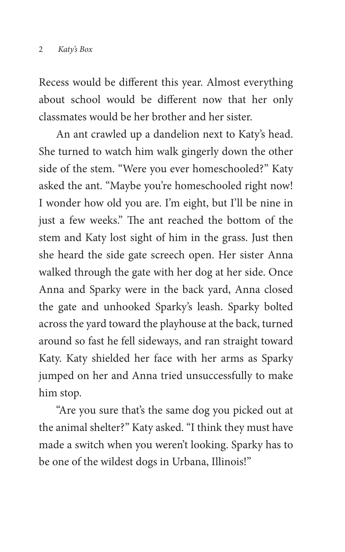Recess would be different this year. Almost everything about school would be different now that her only classmates would be her brother and her sister.

An ant crawled up a dandelion next to Katy's head. She turned to watch him walk gingerly down the other side of the stem. "Were you ever homeschooled?" Katy asked the ant. "Maybe you're homeschooled right now! I wonder how old you are. I'm eight, but I'll be nine in just a few weeks." The ant reached the bottom of the stem and Katy lost sight of him in the grass. Just then she heard the side gate screech open. Her sister Anna walked through the gate with her dog at her side. Once Anna and Sparky were in the back yard, Anna closed the gate and unhooked Sparky's leash. Sparky bolted across the yard toward the playhouse at the back, turned around so fast he fell sideways, and ran straight toward Katy. Katy shielded her face with her arms as Sparky jumped on her and Anna tried unsuccessfully to make him stop.

"Are you sure that's the same dog you picked out at the animal shelter?" Katy asked. "I think they must have made a switch when you weren't looking. Sparky has to be one of the wildest dogs in Urbana, Illinois!"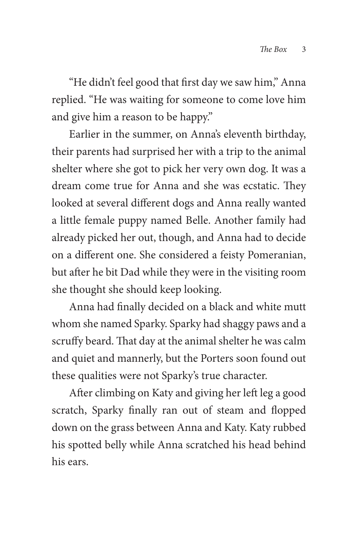"He didn't feel good that first day we saw him," Anna replied. "He was waiting for someone to come love him and give him a reason to be happy."

Earlier in the summer, on Anna's eleventh birthday, their parents had surprised her with a trip to the animal shelter where she got to pick her very own dog. It was a dream come true for Anna and she was ecstatic. They looked at several different dogs and Anna really wanted a little female puppy named Belle. Another family had already picked her out, though, and Anna had to decide on a different one. She considered a feisty Pomeranian, but after he bit Dad while they were in the visiting room she thought she should keep looking.

Anna had finally decided on a black and white mutt whom she named Sparky. Sparky had shaggy paws and a scruffy beard. That day at the animal shelter he was calm and quiet and mannerly, but the Porters soon found out these qualities were not Sparky's true character.

After climbing on Katy and giving her left leg a good scratch, Sparky finally ran out of steam and flopped down on the grass between Anna and Katy. Katy rubbed his spotted belly while Anna scratched his head behind his ears.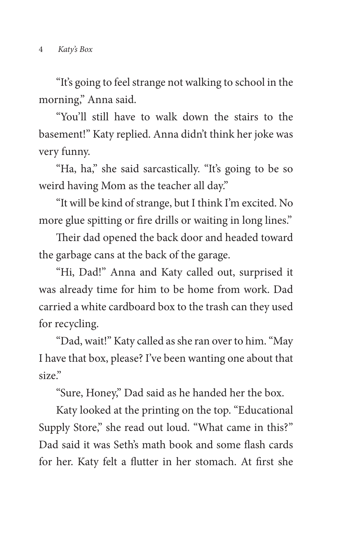"It's going to feel strange not walking to school in the morning," Anna said.

"You'll still have to walk down the stairs to the basement!" Katy replied. Anna didn't think her joke was very funny.

"Ha, ha," she said sarcastically. "It's going to be so weird having Mom as the teacher all day."

"It will be kind of strange, but I think I'm excited. No more glue spitting or fire drills or waiting in long lines."

Their dad opened the back door and headed toward the garbage cans at the back of the garage.

"Hi, Dad!" Anna and Katy called out, surprised it was already time for him to be home from work. Dad carried a white cardboard box to the trash can they used for recycling.

"Dad, wait!" Katy called as she ran over to him. "May I have that box, please? I've been wanting one about that size."

"Sure, Honey," Dad said as he handed her the box.

Katy looked at the printing on the top. "Educational Supply Store," she read out loud. "What came in this?" Dad said it was Seth's math book and some flash cards for her. Katy felt a flutter in her stomach. At first she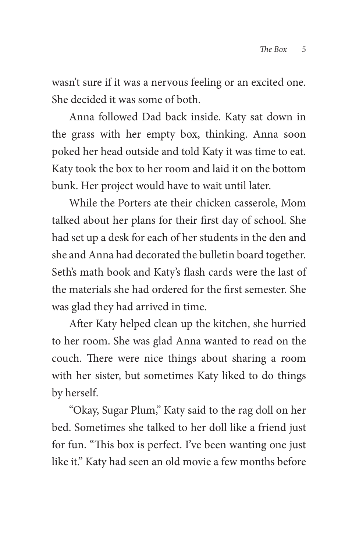wasn't sure if it was a nervous feeling or an excited one. She decided it was some of both.

Anna followed Dad back inside. Katy sat down in the grass with her empty box, thinking. Anna soon poked her head outside and told Katy it was time to eat. Katy took the box to her room and laid it on the bottom bunk. Her project would have to wait until later.

While the Porters ate their chicken casserole, Mom talked about her plans for their first day of school. She had set up a desk for each of her students in the den and she and Anna had decorated the bulletin board together. Seth's math book and Katy's flash cards were the last of the materials she had ordered for the first semester. She was glad they had arrived in time.

After Katy helped clean up the kitchen, she hurried to her room. She was glad Anna wanted to read on the couch. There were nice things about sharing a room with her sister, but sometimes Katy liked to do things by herself.

"Okay, Sugar Plum," Katy said to the rag doll on her bed. Sometimes she talked to her doll like a friend just for fun. "This box is perfect. I've been wanting one just like it." Katy had seen an old movie a few months before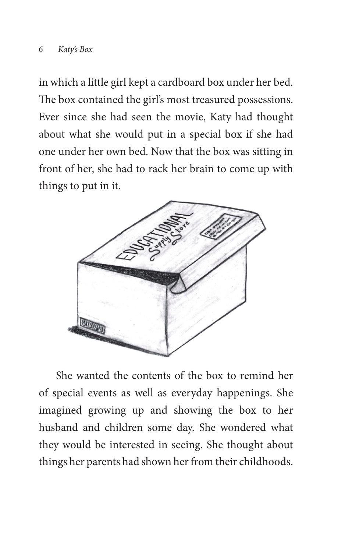in which a little girl kept a cardboard box under her bed. The box contained the girl's most treasured possessions. Ever since she had seen the movie, Katy had thought about what she would put in a special box if she had one under her own bed. Now that the box was sitting in front of her, she had to rack her brain to come up with things to put in it.



She wanted the contents of the box to remind her of special events as well as everyday happenings. She imagined growing up and showing the box to her husband and children some day. She wondered what they would be interested in seeing. She thought about things her parents had shown her from their childhoods.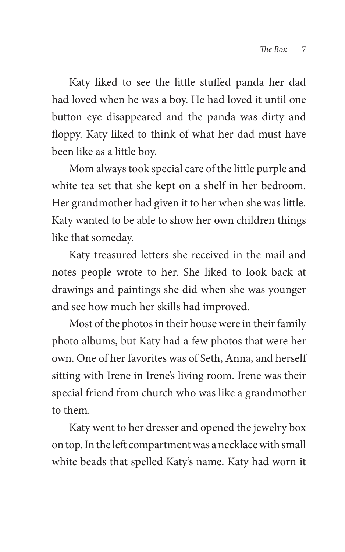Katy liked to see the little stuffed panda her dad had loved when he was a boy. He had loved it until one button eye disappeared and the panda was dirty and floppy. Katy liked to think of what her dad must have been like as a little boy.

Mom always took special care of the little purple and white tea set that she kept on a shelf in her bedroom. Her grandmother had given it to her when she was little. Katy wanted to be able to show her own children things like that someday.

Katy treasured letters she received in the mail and notes people wrote to her. She liked to look back at drawings and paintings she did when she was younger and see how much her skills had improved.

Most of the photos in their house were in their family photo albums, but Katy had a few photos that were her own. One of her favorites was of Seth, Anna, and herself sitting with Irene in Irene's living room. Irene was their special friend from church who was like a grandmother to them.

Katy went to her dresser and opened the jewelry box on top. In the left compartment was a necklace with small white beads that spelled Katy's name. Katy had worn it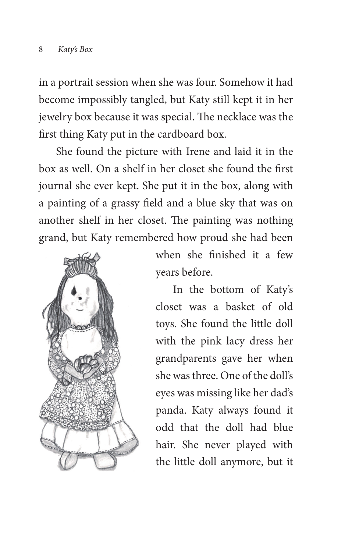in a portrait session when she was four. Somehow it had become impossibly tangled, but Katy still kept it in her jewelry box because it was special. The necklace was the first thing Katy put in the cardboard box.

She found the picture with Irene and laid it in the box as well. On a shelf in her closet she found the first journal she ever kept. She put it in the box, along with a painting of a grassy field and a blue sky that was on another shelf in her closet. The painting was nothing grand, but Katy remembered how proud she had been



when she finished it a few years before.

In the bottom of Katy's closet was a basket of old toys. She found the little doll with the pink lacy dress her grandparents gave her when she was three. One of the doll's eyes was missing like her dad's panda. Katy always found it odd that the doll had blue hair. She never played with the little doll anymore, but it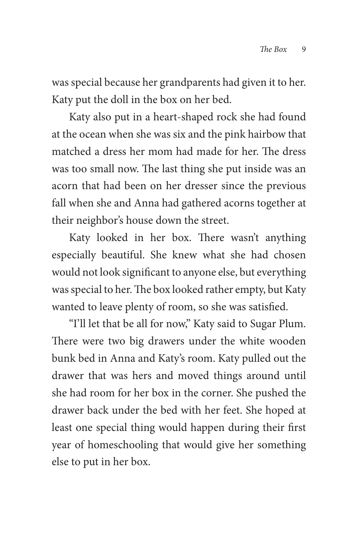was special because her grandparents had given it to her. Katy put the doll in the box on her bed.

Katy also put in a heart-shaped rock she had found at the ocean when she was six and the pink hairbow that matched a dress her mom had made for her. The dress was too small now. The last thing she put inside was an acorn that had been on her dresser since the previous fall when she and Anna had gathered acorns together at their neighbor's house down the street.

Katy looked in her box. There wasn't anything especially beautiful. She knew what she had chosen would not look significant to anyone else, but everything was special to her. The box looked rather empty, but Katy wanted to leave plenty of room, so she was satisfied.

"I'll let that be all for now," Katy said to Sugar Plum. There were two big drawers under the white wooden bunk bed in Anna and Katy's room. Katy pulled out the drawer that was hers and moved things around until she had room for her box in the corner. She pushed the drawer back under the bed with her feet. She hoped at least one special thing would happen during their first year of homeschooling that would give her something else to put in her box.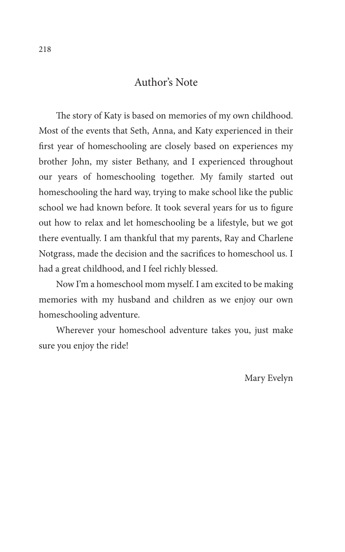#### Author's Note

The story of Katy is based on memories of my own childhood. Most of the events that Seth, Anna, and Katy experienced in their first year of homeschooling are closely based on experiences my brother John, my sister Bethany, and I experienced throughout our years of homeschooling together. My family started out homeschooling the hard way, trying to make school like the public school we had known before. It took several years for us to figure out how to relax and let homeschooling be a lifestyle, but we got there eventually. I am thankful that my parents, Ray and Charlene Notgrass, made the decision and the sacrifices to homeschool us. I had a great childhood, and I feel richly blessed.

Now I'm a homeschool mom myself. I am excited to be making memories with my husband and children as we enjoy our own homeschooling adventure.

Wherever your homeschool adventure takes you, just make sure you enjoy the ride!

Mary Evelyn